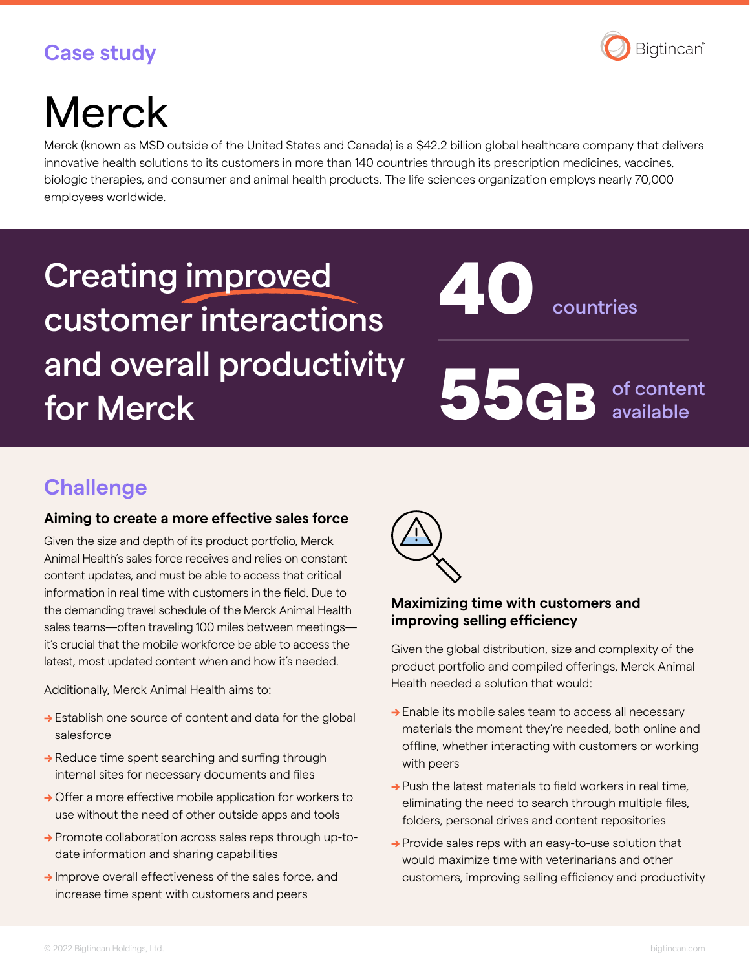## Bigtincan®

## **Case study**

# **Merck**

Merck (known as MSD outside of the United States and Canada) is a \$42.2 billion global healthcare company that delivers innovative health solutions to its customers in more than 140 countries through its prescription medicines, vaccines, biologic therapies, and consumer and animal health products. The life sciences organization employs nearly 70,000 employees worldwide.

## Creating improved customer interactions and overall productivity and overall productivity<br>for Merck states and S56GB

countries 40

of content available

## **Challenge**

#### **Aiming to create a more effective sales force**

Given the size and depth of its product portfolio, Merck Animal Health's sales force receives and relies on constant content updates, and must be able to access that critical information in real time with customers in the field. Due to the demanding travel schedule of the Merck Animal Health sales teams—often traveling 100 miles between meetings it's crucial that the mobile workforce be able to access the latest, most updated content when and how it's needed.

Additionally, Merck Animal Health aims to:

- → Establish one source of content and data for the global salesforce
- → Reduce time spent searching and surfing through internal sites for necessary documents and files
- → Offer a more effective mobile application for workers to use without the need of other outside apps and tools
- → Promote collaboration across sales reps through up-todate information and sharing capabilities
- → Improve overall effectiveness of the sales force, and increase time spent with customers and peers



#### **Maximizing time with customers and improving selling efficiency**

Given the global distribution, size and complexity of the product portfolio and compiled offerings, Merck Animal Health needed a solution that would:

- → Enable its mobile sales team to access all necessary materials the moment they're needed, both online and offline, whether interacting with customers or working with peers
- $\rightarrow$  Push the latest materials to field workers in real time. eliminating the need to search through multiple files, folders, personal drives and content repositories
- → Provide sales reps with an easy-to-use solution that would maximize time with veterinarians and other customers, improving selling efficiency and productivity